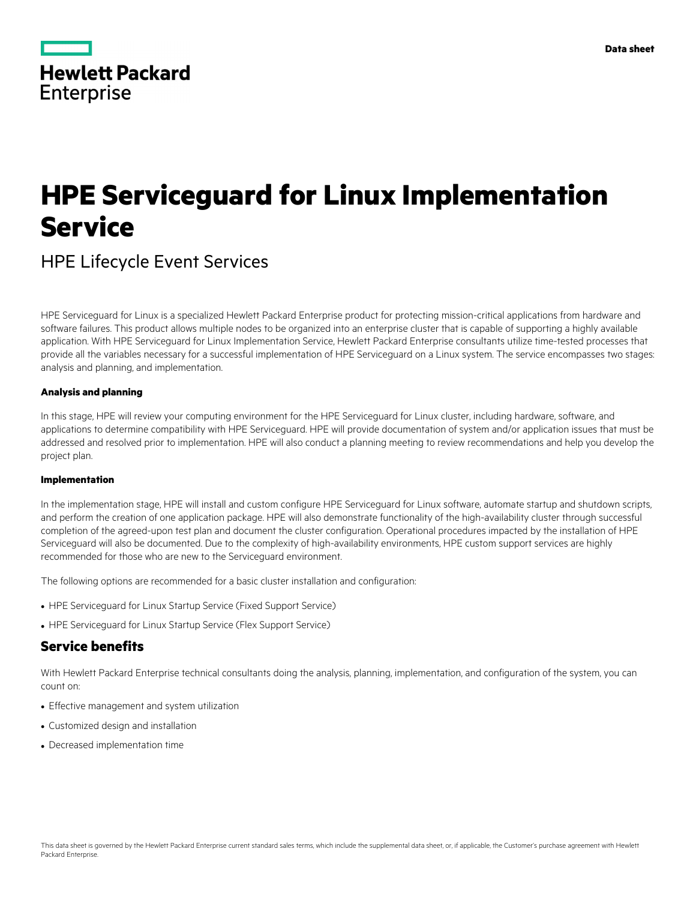|                   | <b>Hewlett Packard</b> |
|-------------------|------------------------|
| <b>Enterprise</b> |                        |

# **HPE Serviceguard for Linux Implementation Service**

HPE Lifecycle Event Services

HPE Serviceguard for Linux is a specialized Hewlett Packard Enterprise product for protecting mission-critical applications from hardware and software failures. This product allows multiple nodes to be organized into an enterprise cluster that is capable of supporting a highly available application. With HPE Serviceguard for Linux Implementation Service, Hewlett Packard Enterprise consultants utilize time-tested processes that provide all the variables necessary for a successful implementation of HPE Serviceguard on a Linux system. The service encompasses two stages: analysis and planning, and implementation.

#### **Analysis and planning**

In this stage, HPE will review your computing environment for the HPE Serviceguard for Linux cluster, including hardware, software, and applications to determine compatibility with HPE Serviceguard. HPE will provide documentation of system and/or application issues that must be addressed and resolved prior to implementation. HPE will also conduct a planning meeting to review recommendations and help you develop the project plan.

#### **Implementation**

In the implementation stage, HPE will install and custom configure HPE Serviceguard for Linux software, automate startup and shutdown scripts, and perform the creation of one application package. HPE will also demonstrate functionality of the high-availability cluster through successful completion of the agreed-upon test plan and document the cluster configuration. Operational procedures impacted by the installation of HPE Serviceguard will also be documented. Due to the complexity of high-availability environments, HPE custom support services are highly recommended for those who are new to the Serviceguard environment.

The following options are recommended for a basic cluster installation and configuration:

- HPE Serviceguard for Linux Startup Service (Fixed Support Service)
- HPE Serviceguard for Linux Startup Service (Flex Support Service)

#### **Service benefits**

With Hewlett Packard Enterprise technical consultants doing the analysis, planning, implementation, and configuration of the system, you can count on:

- Effective management and system utilization
- Customized design and installation
- Decreased implementation time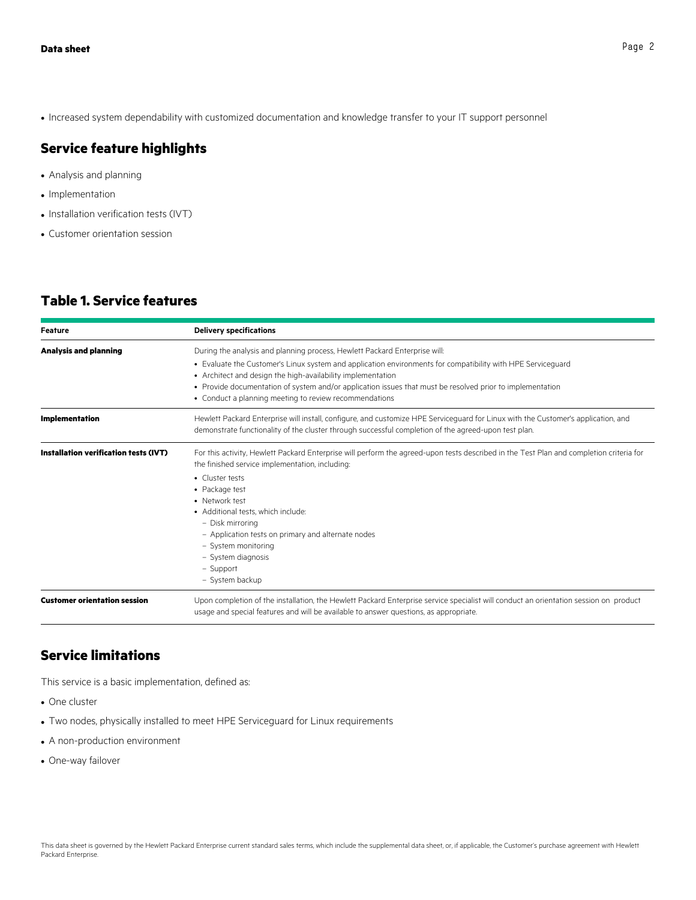• Increased system dependability with customized documentation and knowledge transfer to your IT support personnel

# **Service feature highlights**

- Analysis and planning
- Implementation
- Installation verification tests (IVT)
- Customer orientation session

# **Table 1. Service features**

| <b>Feature</b>                        | <b>Delivery specifications</b>                                                                                                                                                                                                            |
|---------------------------------------|-------------------------------------------------------------------------------------------------------------------------------------------------------------------------------------------------------------------------------------------|
| <b>Analysis and planning</b>          | During the analysis and planning process, Hewlett Packard Enterprise will:                                                                                                                                                                |
|                                       | • Evaluate the Customer's Linux system and application environments for compatibility with HPE Serviceguard                                                                                                                               |
|                                       | • Architect and design the high-availability implementation                                                                                                                                                                               |
|                                       | • Provide documentation of system and/or application issues that must be resolved prior to implementation                                                                                                                                 |
|                                       | • Conduct a planning meeting to review recommendations                                                                                                                                                                                    |
| <b>Implementation</b>                 | Hewlett Packard Enterprise will install, configure, and customize HPE Serviceguard for Linux with the Customer's application, and<br>demonstrate functionality of the cluster through successful completion of the agreed-upon test plan. |
|                                       |                                                                                                                                                                                                                                           |
| Installation verification tests (IVT) | For this activity, Hewlett Packard Enterprise will perform the agreed-upon tests described in the Test Plan and completion criteria for<br>the finished service implementation, including:                                                |
|                                       | • Cluster tests                                                                                                                                                                                                                           |
|                                       | • Package test                                                                                                                                                                                                                            |
|                                       | • Network test                                                                                                                                                                                                                            |
|                                       | • Additional tests, which include:                                                                                                                                                                                                        |
|                                       | - Disk mirroring                                                                                                                                                                                                                          |
|                                       | - Application tests on primary and alternate nodes                                                                                                                                                                                        |
|                                       | - System monitoring                                                                                                                                                                                                                       |
|                                       | - System diagnosis                                                                                                                                                                                                                        |
|                                       | - Support                                                                                                                                                                                                                                 |
|                                       | - System backup                                                                                                                                                                                                                           |
| <b>Customer orientation session</b>   | Upon completion of the installation, the Hewlett Packard Enterprise service specialist will conduct an orientation session on product<br>usage and special features and will be available to answer questions, as appropriate.            |

## **Service limitations**

This service is a basic implementation, defined as:

- One cluster
- Two nodes, physically installed to meet HPE Serviceguard for Linux requirements
- A non-production environment
- One-way failover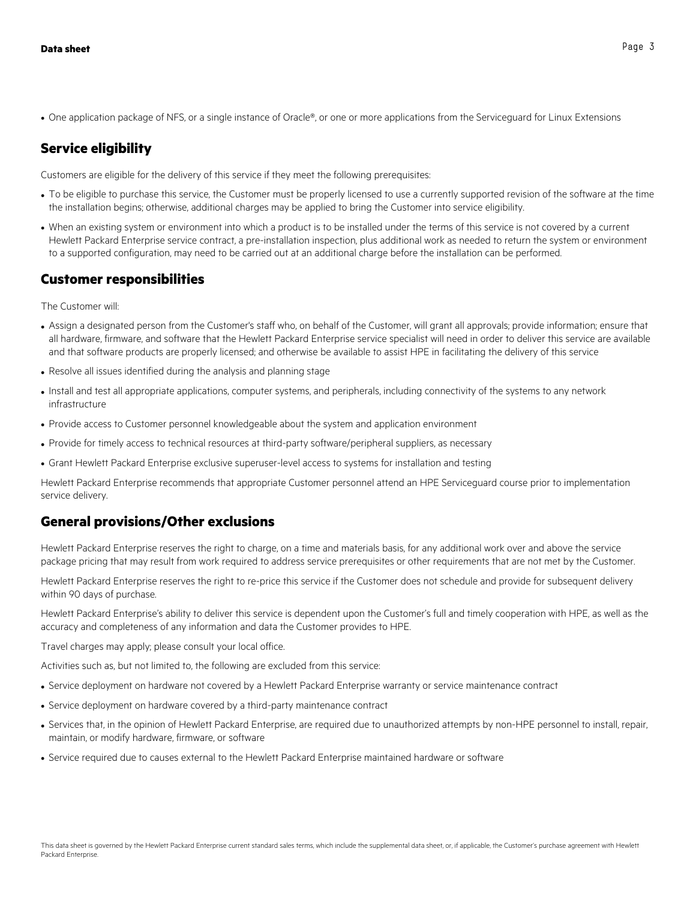• One application package of NFS, or a single instance of Oracle®, or one or more applications from the Serviceguard for Linux Extensions

# **Service eligibility**

Customers are eligible for the delivery of this service if they meet the following prerequisites:

- To be eligible to purchase this service, the Customer must be properly licensed to use a currently supported revision of the software at the time the installation begins; otherwise, additional charges may be applied to bring the Customer into service eligibility.
- When an existing system or environment into which a product is to be installed under the terms of this service is not covered by a current Hewlett Packard Enterprise service contract, a pre-installation inspection, plus additional work as needed to return the system or environment to a supported configuration, may need to be carried out at an additional charge before the installation can be performed.

## **Customer responsibilities**

The Customer will:

- Assign a designated person from the Customer's staff who, on behalf of the Customer, will grant all approvals; provide information; ensure that all hardware, firmware, and software that the Hewlett Packard Enterprise service specialist will need in order to deliver this service are available and that software products are properly licensed; and otherwise be available to assist HPE in facilitating the delivery of this service
- Resolve all issues identified during the analysis and planning stage
- Install and test all appropriate applications, computer systems, and peripherals, including connectivity of the systems to any network infrastructure
- Provide access to Customer personnel knowledgeable about the system and application environment
- Provide for timely access to technical resources at third-party software/peripheral suppliers, as necessary
- Grant Hewlett Packard Enterprise exclusive superuser-level access to systems for installation and testing

Hewlett Packard Enterprise recommends that appropriate Customer personnel attend an HPE Serviceguard course prior to implementation service delivery.

## **General provisions/Other exclusions**

Hewlett Packard Enterprise reserves the right to charge, on a time and materials basis, for any additional work over and above the service package pricing that may result from work required to address service prerequisites or other requirements that are not met by the Customer.

Hewlett Packard Enterprise reserves the right to re-price this service if the Customer does not schedule and provide for subsequent delivery within 90 days of purchase.

Hewlett Packard Enterprise's ability to deliver this service is dependent upon the Customer's full and timely cooperation with HPE, as well as the accuracy and completeness of any information and data the Customer provides to HPE.

Travel charges may apply; please consult your local office.

Activities such as, but not limited to, the following are excluded from this service:

- Service deployment on hardware not covered by a Hewlett Packard Enterprise warranty or service maintenance contract
- Service deployment on hardware covered by a third-party maintenance contract
- Services that, in the opinion of Hewlett Packard Enterprise, are required due to unauthorized attempts by non-HPE personnel to install, repair, maintain, or modify hardware, firmware, or software
- Service required due to causes external to the Hewlett Packard Enterprise maintained hardware or software